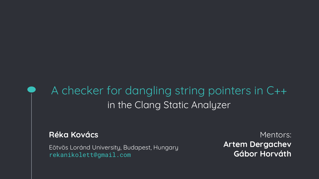## A checker for dangling string pointers in C++ in the Clang Static Analyzer

## **Réka Kovács**

Eötvös Loránd University, Budapest, Hungary rekanikolett@gmail.com

Mentors: **Artem Dergachev Gábor Horváth**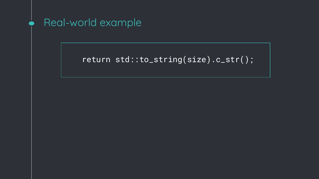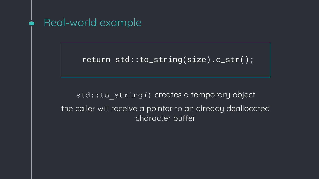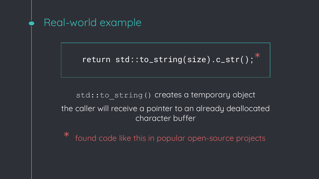

found code like this in popular open-source projects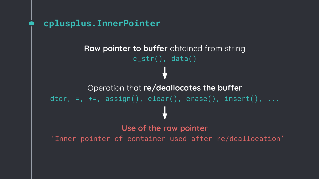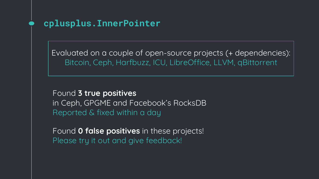Evaluated on a couple of open-source projects (+ dependencies): Bitcoin, Ceph, Harfbuzz, ICU, LibreOffice, LLVM, qBittorrent

Found **3 true positives** in Ceph, GPGME and Facebook's RocksDB Reported & fixed within a day

Found **0 false positives** in these projects! Please try it out and give feedback!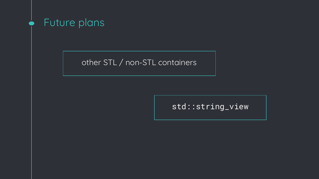

other STL / non-STL containers

## std::string\_view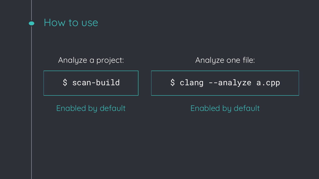